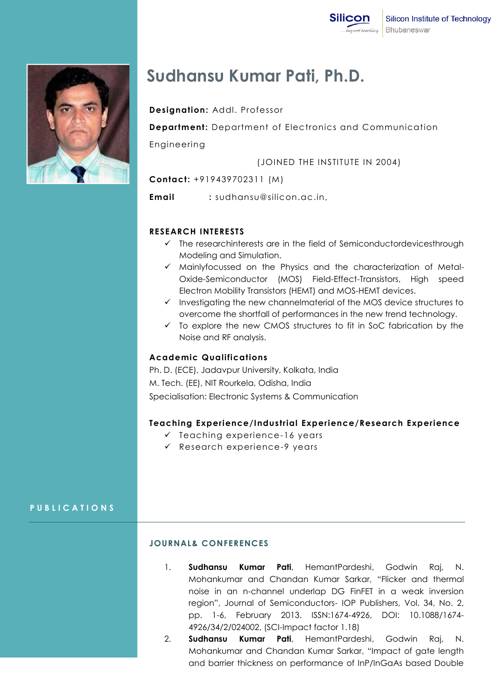

# **Sudhansu Kumar Pati, Ph.D.**

**Designation:** Addl. Professor

**Department:** Department of Electronics and Communication

Engineering

(JOINED THE INSTITUTE IN 2004)

**Contact:** +919439702311 (M)

**Email :** sudhansu@silicon.ac.in,

### **RESEARCH INTERESTS**

- $\checkmark$  The researchinterests are in the field of Semiconductordevicesthrough Modeling and Simulation.
- $\checkmark$  Mainlyfocussed on the Physics and the characterization of Metal-Oxide-Semiconductor (MOS) Field-Effect-Transistors, High speed Electron Mobility Transistors (HEMT) and MOS-HEMT devices.
- $\checkmark$  Investigating the new channelmaterial of the MOS device structures to overcome the shortfall of performances in the new trend technology.
- $\checkmark$  To explore the new CMOS structures to fit in SoC fabrication by the Noise and RF analysis.

#### **Academic Qualifications**

Ph. D. (ECE), Jadavpur University, Kolkata, India M. Tech. (EE), NIT Rourkela, Odisha, India Specialisation: Electronic Systems & Communication

## **Teaching Experience/Industrial Experience/Research Experience**

- $\checkmark$  Teaching experience-16 years
- $\checkmark$  Research experience-9 years

**P U B L I C A T I O N S**

#### **JOURNAL& CONFERENCES**

- 1. **Sudhansu Kumar Pati**, HemantPardeshi, Godwin Raj, N. Mohankumar and Chandan Kumar Sarkar, "Flicker and thermal noise in an n-channel underlap DG FinFET in a weak inversion region", Journal of Semiconductors- IOP Publishers, Vol. 34, No. 2, pp. 1-6, February 2013. ISSN:1674-4926, DOI: 10.1088/1674- 4926/34/2/024002, (SCI-Impact factor 1.18)
- 2. **Sudhansu Kumar Pati**, HemantPardeshi, Godwin Raj, N. Mohankumar and Chandan Kumar Sarkar, "Impact of gate length and barrier thickness on performance of InP/InGaAs based Double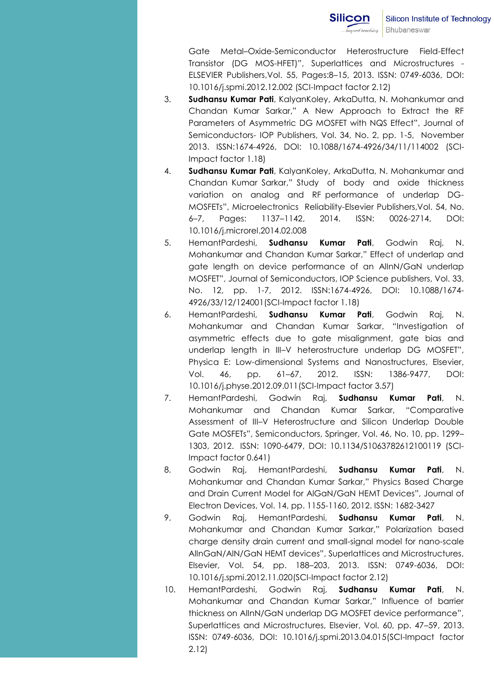Gate Metal–Oxide-Semiconductor Heterostructure Field-Effect Transistor (DG MOS-HFET)", Superlattices and Microstructures - ELSEVIER Publishers,Vol. 55, Pages:8–15, 2013. ISSN: 0749-6036, DOI: 10.1016/j.spmi.2012.12.002 (SCI-Impact factor 2.12)

- 3. **Sudhansu Kumar Pati**, KalyanKoley, ArkaDutta, N. Mohankumar and Chandan Kumar Sarkar," A New Approach to Extract the RF Parameters of Asymmetric DG MOSFET with NQS Effect", Journal of Semiconductors- IOP Publishers, Vol. 34, No. 2, pp. 1-5, November 2013. ISSN:1674-4926, DOI: 10.1088/1674-4926/34/11/114002 (SCI-Impact factor 1.18)
- 4. **Sudhansu Kumar Pati**, KalyanKoley, ArkaDutta, N. Mohankumar and Chandan Kumar Sarkar," Study of body and oxide thickness variation on analog and RF performance of underlap DG-MOSFETs", Microelectronics Reliability-Elsevier Publishers,Vol. 54, No. 6–7, Pages: 1137–1142, 2014. ISSN: 0026-2714, DOI: 10.1016/j.microrel.2014.02.008
- 5. HemantPardeshi, **Sudhansu Kumar Pati**, Godwin Raj, N. Mohankumar and Chandan Kumar Sarkar," Effect of underlap and gate length on device performance of an AlInN/GaN underlap MOSFET", Journal of Semiconductors, IOP Science publishers, Vol. 33, No. 12, pp. 1-7, 2012. ISSN:1674-4926, DOI: 10.1088/1674- 4926/33/12/124001(SCI-Impact factor 1.18)
- 6. HemantPardeshi, **Sudhansu Kumar Pati**, Godwin Raj, N. Mohankumar and Chandan Kumar Sarkar, "Investigation of asymmetric effects due to gate misalignment, gate bias and underlap length in III-V heterostructure underlap DG MOSFET", Physica E: Low-dimensional Systems and Nanostructures, Elsevier, Vol. 46, pp. 61–67, 2012. ISSN: 1386-9477, DOI: 10.1016/j.physe.2012.09.011(SCI-Impact factor 3.57)
- 7. HemantPardeshi, Godwin Raj, **Sudhansu Kumar Pati**, N. Mohankumar and Chandan Kumar Sarkar, "Comparative Assessment of III–V Heterostructure and Silicon Underlap Double Gate MOSFETs", Semiconductors, Springer, Vol. 46, No. 10, pp. 1299– 1303, 2012. ISSN: 1090-6479, DOI: 10.1134/S1063782612100119 (SCI-Impact factor 0.641)
- 8. Godwin Raj, HemantPardeshi, **Sudhansu Kumar Pati**, N. Mohankumar and Chandan Kumar Sarkar," Physics Based Charge and Drain Current Model for AlGaN/GaN HEMT Devices", Journal of Electron Devices, Vol. 14, pp. 1155-1160, 2012. ISSN: 1682-3427
- 9. Godwin Raj, HemantPardeshi, **Sudhansu Kumar Pati**, N. Mohankumar and Chandan Kumar Sarkar," Polarization based charge density drain current and small-signal model for nano-scale AlInGaN/AlN/GaN HEMT devices", Superlattices and Microstructures, Elsevier, Vol. 54, pp. 188–203, 2013. ISSN: 0749-6036, DOI: 10.1016/j.spmi.2012.11.020(SCI-Impact factor 2.12)
- 10. HemantPardeshi, Godwin Raj, **Sudhansu Kumar Pati**, N. Mohankumar and Chandan Kumar Sarkar," Influence of barrier thickness on AlInN/GaN underlap DG MOSFET device performance", Superlattices and Microstructures, Elsevier, Vol. 60, pp. 47–59, 2013. ISSN: 0749-6036, DOI: 10.1016/j.spmi.2013.04.015(SCI-Impact factor 2.12)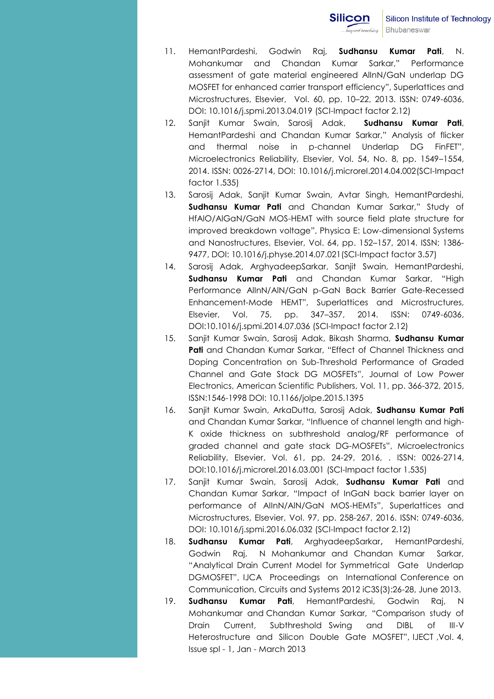- 11. HemantPardeshi, Godwin Raj, **Sudhansu Kumar Pati**, N. Mohankumar and Chandan Kumar Sarkar," Performance assessment of gate material engineered AlInN/GaN underlap DG MOSFET for enhanced carrier transport efficiency", Superlattices and Microstructures, Elsevier, Vol. 60, pp. 10–22, 2013. ISSN: 0749-6036, DOI: 10.1016/j.spmi.2013.04.019 (SCI-Impact factor 2.12)
- 12. Sanjit Kumar Swain, Sarosij Adak, **Sudhansu Kumar Pati**, HemantPardeshi and Chandan Kumar Sarkar," Analysis of flicker and thermal noise in p-channel Underlap DG FinFET", Microelectronics Reliability, Elsevier, Vol. 54, No. 8, pp. 1549–1554, 2014. ISSN: 0026-2714, DOI: 10.1016/j.microrel.2014.04.002(SCI-Impact factor 1.535)
- 13. Sarosij Adak, Sanjit Kumar Swain, Avtar Singh, HemantPardeshi, **Sudhansu Kumar Pati** and Chandan Kumar Sarkar," Study of HfAlO/AlGaN/GaN MOS-HEMT with source field plate structure for improved breakdown voltage", Physica E: Low-dimensional Systems and Nanostructures, Elsevier, Vol. 64, pp. 152–157, 2014. ISSN: 1386- 9477, DOI: 10.1016/j.physe.2014.07.021(SCI-Impact factor 3.57)
- 14. Sarosij Adak, ArghyadeepSarkar, Sanjit Swain, HemantPardeshi, **Sudhansu Kumar Pati** and Chandan Kumar Sarkar, "High Performance AlInN/AlN/GaN p-GaN Back Barrier Gate-Recessed Enhancement-Mode HEMT", Superlattices and Microstructures, Elsevier, Vol. 75, pp. 347–357, 2014. ISSN: 0749-6036, DOI:10.1016/j.spmi.2014.07.036 (SCI-Impact factor 2.12)
- 15. Sanjit Kumar Swain, Sarosij Adak, Bikash Sharma, **Sudhansu Kumar Pati** and Chandan Kumar Sarkar, "Effect of Channel Thickness and Doping Concentration on Sub-Threshold Performance of Graded Channel and Gate Stack DG MOSFETs", Journal of Low Power Electronics, American Scientific Publishers, Vol. 11, pp. 366-372, 2015, ISSN:1546-1998 DOI: 10.1166/jolpe.2015.1395
- 16. Sanjit Kumar Swain, ArkaDutta, Sarosij Adak, **Sudhansu Kumar Pati** and Chandan Kumar Sarkar, "Influence of channel length and high-K oxide thickness on subthreshold analog/RF performance of graded channel and gate stack DG-MOSFETs", Microelectronics Reliability, Elsevier, Vol. 61, pp. 24-29, 2016, . ISSN: 0026-2714, DOI:10.1016/j.microrel.2016.03.001 (SCI-Impact factor 1.535)
- 17. Sanjit Kumar Swain, Sarosij Adak, **Sudhansu Kumar Pati** and Chandan Kumar Sarkar, "Impact of InGaN back barrier layer on performance of AIInN/AlN/GaN MOS-HEMTs", Superlattices and Microstructures, Elsevier, Vol. 97, pp. 258-267, 2016. ISSN: 0749-6036, DOI: 10.1016/j.spmi.2016.06.032 (SCI-Impact factor 2.12)
- 18. **Sudhansu Kumar Pati**, ArghyadeepSarkar, HemantPardeshi, Godwin Raj, N Mohankumar and Chandan Kumar Sarkar, "Analytical Drain Current Model for Symmetrical Gate Underlap DGMOSFET", IJCA Proceedings on International Conference on Communication, Circuits and Systems 2012 iC3S(3):26-28, June 2013.
- 19. **Sudhansu Kumar Pati**, HemantPardeshi, Godwin Raj, N Mohankumar and Chandan Kumar Sarkar, "Comparison study of Drain Current, Subthreshold Swing and DIBL of III-V Heterostructure and Silicon Double Gate MOSFET", IJECT ,Vol. 4, Issue spl - 1, Jan - March 2013